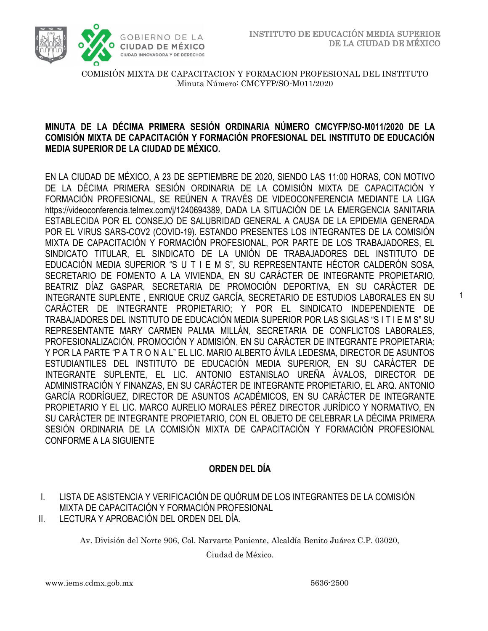1



COMISIÓN MIXTA DE CAPACITACION Y FORMACION PROFESIONAL DEL INSTITUTO Minuta Número: CMCYFP/SO-M011/2020

## **MINUTA DE LA DÉCIMA PRIMERA SESIÓN ORDINARIA NÚMERO CMCYFP/SO-M011/2020 DE LA COMISIÓN MIXTA DE CAPACITACIÓN Y FORMACIÓN PROFESIONAL DEL INSTITUTO DE EDUCACIÓN MEDIA SUPERIOR DE LA CIUDAD DE MÉXICO.**

EN LA CIUDAD DE MÉXICO, A 23 DE SEPTIEMBRE DE 2020, SIENDO LAS 11:00 HORAS, CON MOTIVO DE LA DÉCIMA PRIMERA SESIÓN ORDINARIA DE LA COMISIÓN MIXTA DE CAPACITACIÓN Y FORMACIÓN PROFESIONAL, SE REÚNEN A TRAVÉS DE VIDEOCONFERENCIA MEDIANTE LA LIGA https://videoconferencia.telmex.com/j/1240694389, DADA LA SITUACIÓN DE LA EMERGENCIA SANITARIA ESTABLECIDA POR EL CONSEJO DE SALUBRIDAD GENERAL A CAUSA DE LA EPIDEMIA GENERADA POR EL VIRUS SARS-COV2 (COVID-19). ESTANDO PRESENTES LOS INTEGRANTES DE LA COMISIÓN MIXTA DE CAPACITACIÓN Y FORMACIÓN PROFESIONAL, POR PARTE DE LOS TRABAJADORES, EL SINDICATO TITULAR, EL SINDICATO DE LA UNIÓN DE TRABAJADORES DEL INSTITUTO DE EDUCACIÓN MEDIA SUPERIOR "S U T I E M S", SU REPRESENTANTE HÉCTOR CALDERÓN SOSA, SECRETARIO DE FOMENTO A LA VIVIENDA, EN SU CARÁCTER DE INTEGRANTE PROPIETARIO, BEATRIZ DÍAZ GASPAR, SECRETARIA DE PROMOCIÓN DEPORTIVA, EN SU CARÁCTER DE INTEGRANTE SUPLENTE , ENRIQUE CRUZ GARCÍA, SECRETARIO DE ESTUDIOS LABORALES EN SU CARÁCTER DE INTEGRANTE PROPIETARIO; Y POR EL SINDICATO INDEPENDIENTE DE TRABAJADORES DEL INSTITUTO DE EDUCACIÓN MEDIA SUPERIOR POR LAS SIGLAS "S I T I E M S" SU REPRESENTANTE MARY CARMEN PALMA MILLÁN, SECRETARIA DE CONFLICTOS LABORALES, PROFESIONALIZACIÓN, PROMOCIÓN Y ADMISIÓN, EN SU CARÁCTER DE INTEGRANTE PROPIETARIA; Y POR LA PARTE "P A T R O N A L" EL LIC. MARIO ALBERTO ÁVILA LEDESMA, DIRECTOR DE ASUNTOS ESTUDIANTILES DEL INSTITUTO DE EDUCACIÓN MEDIA SUPERIOR, EN SU CARÁCTER DE INTEGRANTE SUPLENTE, EL LIC. ANTONIO ESTANISLAO UREÑA ÁVALOS, DIRECTOR DE ADMINISTRACIÓN Y FINANZAS, EN SU CARÁCTER DE INTEGRANTE PROPIETARIO, EL ARQ. ANTONIO GARCÍA RODRÍGUEZ, DIRECTOR DE ASUNTOS ACADÉMICOS, EN SU CARÁCTER DE INTEGRANTE PROPIETARIO Y EL LIC. MARCO AURELIO MORALES PÉREZ DIRECTOR JURÍDICO Y NORMATIVO, EN SU CARÁCTER DE INTEGRANTE PROPIETARIO, CON EL OBJETO DE CELEBRAR LA DÉCIMA PRIMERA SESIÓN ORDINARIA DE LA COMISIÓN MIXTA DE CAPACITACIÓN Y FORMACIÓN PROFESIONAL CONFORME A LA SIGUIENTE

# **ORDEN DEL DÍA**

- I. LISTA DE ASISTENCIA Y VERIFICACIÓN DE QUÓRUM DE LOS INTEGRANTES DE LA COMISIÓN MIXTA DE CAPACITACIÓN Y FORMACIÓN PROFESIONAL
- II. LECTURA Y APROBACIÓN DEL ORDEN DEL DÍA.

Av. División del Norte 906, Col. Narvarte Poniente, Alcaldía Benito Juárez C.P. 03020,

Ciudad de México.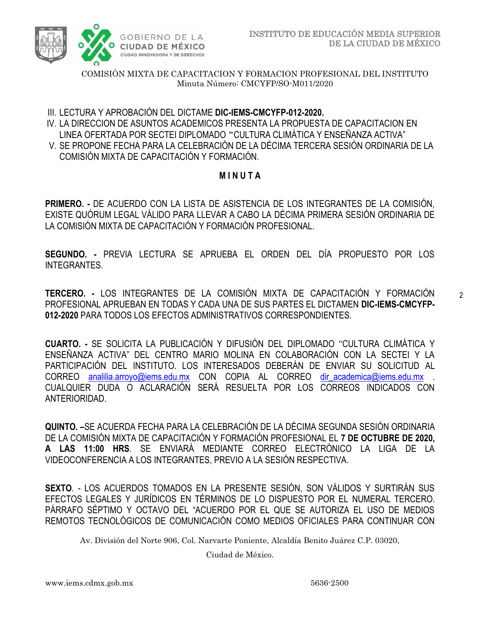

III. LECTURA Y APROBACIÓN DEL DICTAME **DIC-IEMS-CMCYFP-012-2020.**

IV. LA DIRECCION DE ASUNTOS ACADEMICOS PRESENTA LA PROPUESTA DE CAPACITACION EN LINEA OFERTADA POR SECTEI DIPLOMADO **"**CULTURA CLIMÁTICA Y ENSEÑANZA ACTIVA" V. SE PROPONE FECHA PARA LA CELEBRACIÓN DE LA DÉCIMA TERCERA SESIÓN ORDINARIA DE LA COMISIÓN MIXTA DE CAPACITACIÓN Y FORMACIÓN.

# **M I N U T A**

**PRIMERO. -** DE ACUERDO CON LA LISTA DE ASISTENCIA DE LOS INTEGRANTES DE LA COMISIÓN, EXISTE QUÓRUM LEGAL VÁLIDO PARA LLEVAR A CABO LA DÉCIMA PRIMERA SESIÓN ORDINARIA DE LA COMISIÓN MIXTA DE CAPACITACIÓN Y FORMACIÓN PROFESIONAL.

**SEGUNDO. -** PREVIA LECTURA SE APRUEBA EL ORDEN DEL DÍA PROPUESTO POR LOS INTEGRANTES.

**TERCERO. -** LOS INTEGRANTES DE LA COMISIÓN MIXTA DE CAPACITACIÓN Y FORMACIÓN PROFESIONAL APRUEBAN EN TODAS Y CADA UNA DE SUS PARTES EL DICTAMEN **DIC-IEMS-CMCYFP-012-2020** PARA TODOS LOS EFECTOS ADMINISTRATIVOS CORRESPONDIENTES.

**CUARTO. -** SE SOLICITA LA PUBLICACIÓN Y DIFUSIÓN DEL DIPLOMADO "CULTURA CLIMÁTICA Y ENSEÑANZA ACTIVA" DEL CENTRO MARIO MOLINA EN COLABORACIÓN CON LA SECTEI Y LA PARTICIPACIÓN DEL INSTITUTO. LOS INTERESADOS DEBERÁN DE ENVIAR SU SOLICITUD AL CORREO [analilia.arroyo@iems.edu.mx](mailto:analilia.arroyo@iems.edu.mx) CON COPIA AL CORREO dir academica@iems.edu.mx CUALQUIER DUDA O ACLARACIÓN SERÁ RESUELTA POR LOS CORREOS INDICADOS CON ANTERIORIDAD.

**QUINTO. –**SE ACUERDA FECHA PARA LA CELEBRACIÓN DE LA DÉCIMA SEGUNDA SESIÓN ORDINARIA DE LA COMISIÓN MIXTA DE CAPACITACIÓN Y FORMACIÓN PROFESIONAL EL **7 DE OCTUBRE DE 2020, A LAS 11:00 HRS**. SE ENVIARÁ MEDIANTE CORREO ELECTRÓNICO LA LIGA DE LA VIDEOCONFERENCIA A LOS INTEGRANTES, PREVIO A LA SESIÓN RESPECTIVA.

**SEXTO**. - LOS ACUERDOS TOMADOS EN LA PRESENTE SESIÓN, SON VÁLIDOS Y SURTIRÁN SUS EFECTOS LEGALES Y JURÍDICOS EN TÉRMINOS DE LO DISPUESTO POR EL NUMERAL TERCERO. PÁRRAFO SÉPTIMO Y OCTAVO DEL "ACUERDO POR EL QUE SE AUTORIZA EL USO DE MEDIOS REMOTOS TECNOLÓGICOS DE COMUNICACIÓN COMO MEDIOS OFICIALES PARA CONTINUAR CON

Av. División del Norte 906, Col. Narvarte Poniente, Alcaldía Benito Juárez C.P. 03020,

Ciudad de México.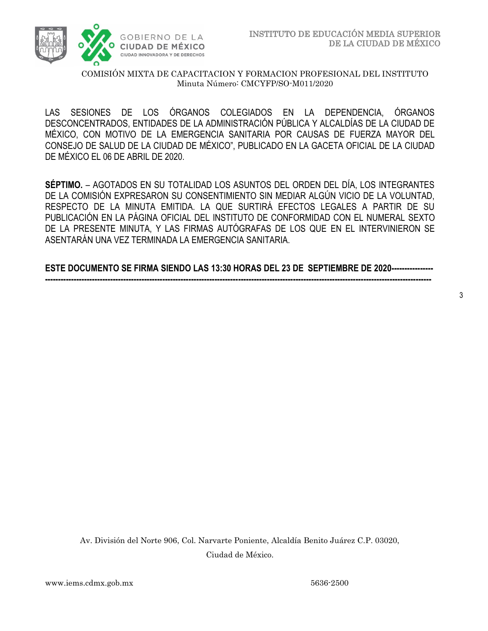

LAS SESIONES DE LOS ÓRGANOS COLEGIADOS EN LA DEPENDENCIA, ÓRGANOS DESCONCENTRADOS, ENTIDADES DE LA ADMINISTRACIÓN PÚBLICA Y ALCALDÍAS DE LA CIUDAD DE MÉXICO, CON MOTIVO DE LA EMERGENCIA SANITARIA POR CAUSAS DE FUERZA MAYOR DEL CONSEJO DE SALUD DE LA CIUDAD DE MÉXICO", PUBLICADO EN LA GACETA OFICIAL DE LA CIUDAD DE MÉXICO EL 06 DE ABRIL DE 2020.

**SÉPTIMO.** – AGOTADOS EN SU TOTALIDAD LOS ASUNTOS DEL ORDEN DEL DÍA, LOS INTEGRANTES DE LA COMISIÓN EXPRESARON SU CONSENTIMIENTO SIN MEDIAR ALGÚN VICIO DE LA VOLUNTAD, RESPECTO DE LA MINUTA EMITIDA. LA QUE SURTIRÁ EFECTOS LEGALES A PARTIR DE SU PUBLICACIÓN EN LA PÁGINA OFICIAL DEL INSTITUTO DE CONFORMIDAD CON EL NUMERAL SEXTO DE LA PRESENTE MINUTA, Y LAS FIRMAS AUTÓGRAFAS DE LOS QUE EN EL INTERVINIERON SE ASENTARÁN UNA VEZ TERMINADA LA EMERGENCIA SANITARIA.

**ESTE DOCUMENTO SE FIRMA SIENDO LAS 13:30 HORAS DEL 23 DE SEPTIEMBRE DE 2020---------------- ----------------------------------------------------------------------------------------------------------------------------------------------------**

Av. División del Norte 906, Col. Narvarte Poniente, Alcaldía Benito Juárez C.P. 03020, Ciudad de México.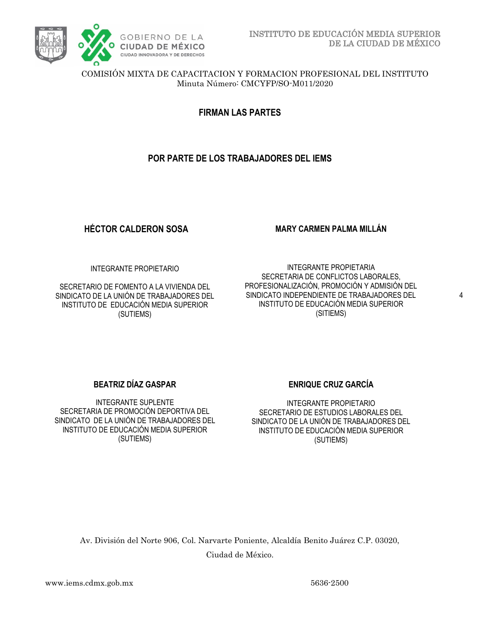

**FIRMAN LAS PARTES**

## **POR PARTE DE LOS TRABAJADORES DEL IEMS**

# **HÉCTOR CALDERON SOSA**

#### **MARY CARMEN PALMA MILLÁN**

INTEGRANTE PROPIETARIO

SECRETARIO DE FOMENTO A LA VIVIENDA DEL SINDICATO DE LA UNIÓN DE TRABAJADORES DEL INSTITUTO DE EDUCACIÓN MEDIA SUPERIOR (SUTIEMS)

INTEGRANTE PROPIETARIA SECRETARIA DE CONFLICTOS LABORALES, PROFESIONALIZACIÓN, PROMOCIÓN Y ADMISIÓN DEL SINDICATO INDEPENDIENTE DE TRABAJADORES DEL INSTITUTO DE EDUCACIÓN MEDIA SUPERIOR (SITIEMS)

### **BEATRIZ DÍAZ GASPAR**

INTEGRANTE SUPLENTE SECRETARIA DE PROMOCIÓN DEPORTIVA DEL SINDICATO DE LA UNIÓN DE TRABAJADORES DEL INSTITUTO DE EDUCACIÓN MEDIA SUPERIOR (SUTIEMS)

### **ENRIQUE CRUZ GARCÍA**

INTEGRANTE PROPIETARIO SECRETARIO DE ESTUDIOS LABORALES DEL SINDICATO DE LA UNIÓN DE TRABAJADORES DEL INSTITUTO DE EDUCACIÓN MEDIA SUPERIOR (SUTIEMS)

Av. División del Norte 906, Col. Narvarte Poniente, Alcaldía Benito Juárez C.P. 03020, Ciudad de México.